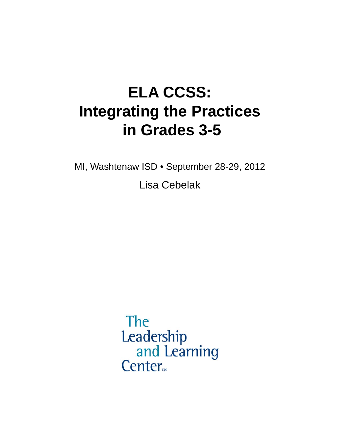## **ELA CCSS: Integrating the Practices in Grades 3-5**

MI, Washtenaw ISD • September 28-29, 2012

Lisa Cebelak

The Leadership and Learning Center<sub>m</sub>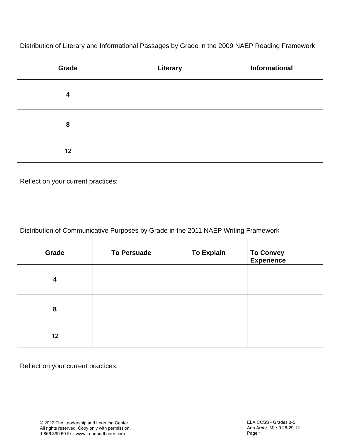Distribution of Literary and Informational Passages by Grade in the 2009 NAEP Reading Framework

| Grade          | <b>Literary</b> | <b>Informational</b> |
|----------------|-----------------|----------------------|
| $\overline{4}$ |                 |                      |
| 8              |                 |                      |
| 12             |                 |                      |

Reflect on your current practices:

| Distribution of Communicative Purposes by Grade in the 2011 NAEP Writing Framework |  |
|------------------------------------------------------------------------------------|--|

| Grade          | <b>To Persuade</b> | <b>To Explain</b> | To Convey<br>Experience |
|----------------|--------------------|-------------------|-------------------------|
| $\overline{4}$ |                    |                   |                         |
| 8              |                    |                   |                         |
| 12             |                    |                   |                         |

Reflect on your current practices: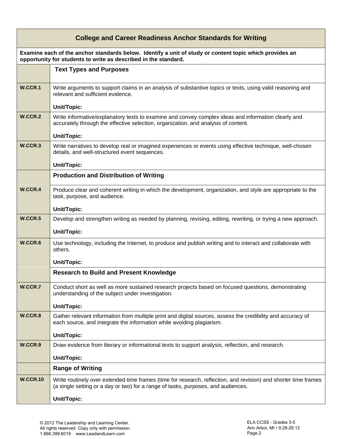| <b>College and Career Readiness Anchor Standards for Writing</b> |                                                                                                                                                                                                      |  |
|------------------------------------------------------------------|------------------------------------------------------------------------------------------------------------------------------------------------------------------------------------------------------|--|
|                                                                  | Examine each of the anchor standards below. Identify a unit of study or content topic which provides an<br>opportunity for students to write as described in the standard.                           |  |
|                                                                  | <b>Text Types and Purposes</b>                                                                                                                                                                       |  |
| W.CCR.1                                                          | Write arguments to support claims in an analysis of substantive topics or texts, using valid reasoning and<br>relevant and sufficient evidence.                                                      |  |
|                                                                  | Unit/Topic:                                                                                                                                                                                          |  |
| W.CCR.2                                                          | Write informative/explanatory texts to examine and convey complex ideas and information clearly and<br>accurately through the effective selection, organization, and analysis of content.            |  |
|                                                                  | Unit/Topic:                                                                                                                                                                                          |  |
| W.CCR.3                                                          | Write narratives to develop real or imagined experiences or events using effective technique, well-chosen<br>details, and well-structured event sequences.                                           |  |
|                                                                  | Unit/Topic:                                                                                                                                                                                          |  |
|                                                                  | <b>Production and Distribution of Writing</b>                                                                                                                                                        |  |
| W.CCR.4                                                          | Produce clear and coherent writing in which the development, organization, and style are appropriate to the<br>task, purpose, and audience.                                                          |  |
|                                                                  | Unit/Topic:                                                                                                                                                                                          |  |
| W.CCR.5                                                          | Develop and strengthen writing as needed by planning, revising, editing, rewriting, or trying a new approach.                                                                                        |  |
|                                                                  | Unit/Topic:                                                                                                                                                                                          |  |
| W.CCR.6                                                          | Use technology, including the Internet, to produce and publish writing and to interact and collaborate with<br>others.                                                                               |  |
|                                                                  | Unit/Topic:                                                                                                                                                                                          |  |
|                                                                  | <b>Research to Build and Present Knowledge</b>                                                                                                                                                       |  |
| W.CCR.7                                                          | Conduct short as well as more sustained research projects based on focused questions, demonstrating<br>understanding of the subject under investigation.                                             |  |
|                                                                  | Unit/Topic:                                                                                                                                                                                          |  |
| W.CCR.8                                                          | Gather relevant information from multiple print and digital sources, assess the credibility and accuracy of<br>each source, and integrate the information while avoiding plagiarism.                 |  |
|                                                                  | Unit/Topic:                                                                                                                                                                                          |  |
| W.CCR.9                                                          | Draw evidence from literary or informational texts to support analysis, reflection, and research.                                                                                                    |  |
|                                                                  | Unit/Topic:                                                                                                                                                                                          |  |
|                                                                  | <b>Range of Writing</b>                                                                                                                                                                              |  |
| <b>W.CCR.10</b>                                                  | Write routinely over extended time frames (time for research, reflection, and revision) and shorter time frames<br>(a single setting or a day or two) for a range of tasks, purposes, and audiences. |  |
|                                                                  | Unit/Topic:                                                                                                                                                                                          |  |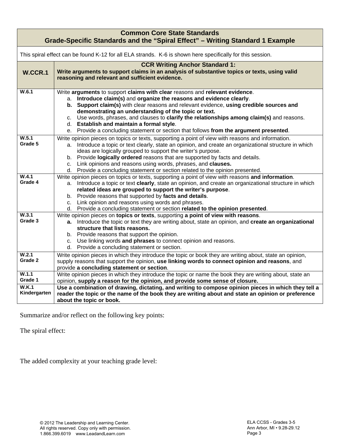|                              | <b>Common Core State Standards</b><br>Grade-Specific Standards and the "Spiral Effect" - Writing Standard 1 Example                                                                                                                                                                                                                                                                                                                                                                                                                           |  |  |
|------------------------------|-----------------------------------------------------------------------------------------------------------------------------------------------------------------------------------------------------------------------------------------------------------------------------------------------------------------------------------------------------------------------------------------------------------------------------------------------------------------------------------------------------------------------------------------------|--|--|
|                              | This spiral effect can be found K-12 for all ELA strands. K-6 is shown here specifically for this session.                                                                                                                                                                                                                                                                                                                                                                                                                                    |  |  |
| W.CCR.1                      | <b>CCR Writing Anchor Standard 1:</b><br>Write arguments to support claims in an analysis of substantive topics or texts, using valid<br>reasoning and relevant and sufficient evidence.                                                                                                                                                                                                                                                                                                                                                      |  |  |
| W.6.1                        | Write arguments to support claims with clear reasons and relevant evidence.<br>a. Introduce claim(s) and organize the reasons and evidence clearly.<br>b. Support claim(s) with clear reasons and relevant evidence, using credible sources and<br>demonstrating an understanding of the topic or text.<br>c. Use words, phrases, and clauses to clarify the relationships among claim(s) and reasons.<br>d. Establish and maintain a formal style.<br>e. Provide a concluding statement or section that follows from the argument presented. |  |  |
| W.5.1<br>Grade 5             | Write opinion pieces on topics or texts, supporting a point of view with reasons and information.<br>a. Introduce a topic or text clearly, state an opinion, and create an organizational structure in which<br>ideas are logically grouped to support the writer's purpose.<br>b. Provide logically ordered reasons that are supported by facts and details.<br>c. Link opinions and reasons using words, phrases, and clauses.<br>d. Provide a concluding statement or section related to the opinion presented.                            |  |  |
| W.4.1<br>Grade 4             | Write opinion pieces on topics or texts, supporting a point of view with reasons and information.<br>a. Introduce a topic or text clearly, state an opinion, and create an organizational structure in which<br>related ideas are grouped to support the writer's purpose.<br>b. Provide reasons that supported by facts and details.<br>c. Link opinion and reasons using words and phrases.<br>d. Provide a concluding statement or section related to the opinion presented.                                                               |  |  |
| W.3.1<br>Grade 3             | Write opinion pieces on topics or texts, supporting a point of view with reasons.<br>a. Introduce the topic or text they are writing about, state an opinion, and create an organizational<br>structure that lists reasons.<br>b. Provide reasons that support the opinion.<br>c. Use linking words and phrases to connect opinion and reasons.<br>d. Provide a concluding statement or section.                                                                                                                                              |  |  |
| W.2.1<br>Grade 2             | Write opinion pieces in which they introduce the topic or book they are writing about, state an opinion,<br>supply reasons that support the opinion, use linking words to connect opinion and reasons, and<br>provide a concluding statement or section.                                                                                                                                                                                                                                                                                      |  |  |
| W.1.1<br>Grade 1             | Write opinion pieces in which they introduce the topic or name the book they are writing about, state an<br>opinion, supply a reason for the opinion, and provide some sense of closure.                                                                                                                                                                                                                                                                                                                                                      |  |  |
| <b>W.K.1</b><br>Kindergarten | Use a combination of drawing, dictating, and writing to compose opinion pieces in which they tell a<br>reader the topic or the name of the book they are writing about and state an opinion or preference<br>about the topic or book.                                                                                                                                                                                                                                                                                                         |  |  |

Summarize and/or reflect on the following key points:

The spiral effect:

The added complexity at your teaching grade level: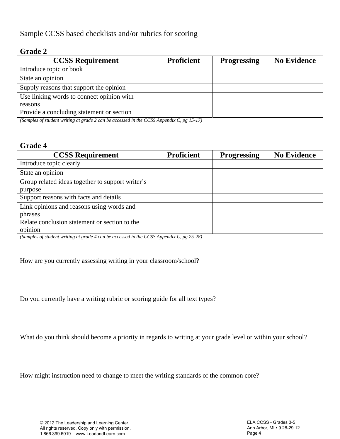Sample CCSS based checklists and/or rubrics for scoring

## **Grade 2**

| <b>CCSS Requirement</b>                   | <b>Proficient</b> | <b>Progressing</b> | <b>No Evidence</b> |
|-------------------------------------------|-------------------|--------------------|--------------------|
| Introduce topic or book                   |                   |                    |                    |
| State an opinion                          |                   |                    |                    |
| Supply reasons that support the opinion   |                   |                    |                    |
| Use linking words to connect opinion with |                   |                    |                    |
| reasons                                   |                   |                    |                    |
| Provide a concluding statement or section |                   |                    |                    |

*(Samples of student writing at grade 2 can be accessed in the CCSS Appendix C, pg 15-17)* 

## **Grade 4**

| <b>CCSS Requirement</b>                          | <b>Proficient</b> | <b>Progressing</b> | <b>No Evidence</b> |
|--------------------------------------------------|-------------------|--------------------|--------------------|
| Introduce topic clearly                          |                   |                    |                    |
| State an opinion                                 |                   |                    |                    |
| Group related ideas together to support writer's |                   |                    |                    |
| purpose                                          |                   |                    |                    |
| Support reasons with facts and details           |                   |                    |                    |
| Link opinions and reasons using words and        |                   |                    |                    |
| phrases                                          |                   |                    |                    |
| Relate conclusion statement or section to the    |                   |                    |                    |
| opinion                                          |                   |                    |                    |

*(Samples of student writing at grade 4 can be accessed in the CCSS Appendix C, pg 25-28)* 

How are you currently assessing writing in your classroom/school?

Do you currently have a writing rubric or scoring guide for all text types?

What do you think should become a priority in regards to writing at your grade level or within your school?

How might instruction need to change to meet the writing standards of the common core?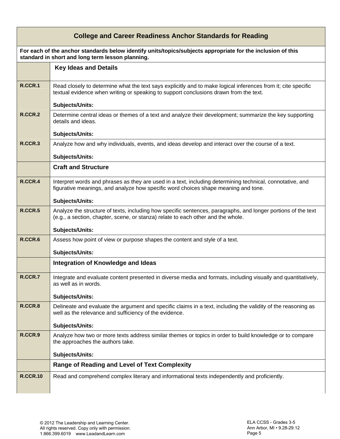| <b>College and Career Readiness Anchor Standards for Reading</b> |                                                                                                                                                                                                                           |  |
|------------------------------------------------------------------|---------------------------------------------------------------------------------------------------------------------------------------------------------------------------------------------------------------------------|--|
|                                                                  | For each of the anchor standards below identify units/topics/subjects appropriate for the inclusion of this<br>standard in short and long term lesson planning.                                                           |  |
|                                                                  | <b>Key Ideas and Details</b>                                                                                                                                                                                              |  |
| R.CCR.1                                                          | Read closely to determine what the text says explicitly and to make logical inferences from it; cite specific<br>textual evidence when writing or speaking to support conclusions drawn from the text.<br>Subjects/Units: |  |
| <b>R.CCR.2</b>                                                   | Determine central ideas or themes of a text and analyze their development; summarize the key supporting<br>details and ideas.<br>Subjects/Units:                                                                          |  |
| R.CCR.3                                                          | Analyze how and why individuals, events, and ideas develop and interact over the course of a text.<br>Subjects/Units:                                                                                                     |  |
|                                                                  | <b>Craft and Structure</b>                                                                                                                                                                                                |  |
| R.CCR.4                                                          | Interpret words and phrases as they are used in a text, including determining technical, connotative, and<br>figurative meanings, and analyze how specific word choices shape meaning and tone.                           |  |
|                                                                  | Subjects/Units:                                                                                                                                                                                                           |  |
| <b>R.CCR.5</b>                                                   | Analyze the structure of texts, including how specific sentences, paragraphs, and longer portions of the text<br>(e.g., a section, chapter, scene, or stanza) relate to each other and the whole.                         |  |
|                                                                  | Subjects/Units:                                                                                                                                                                                                           |  |
| R.CCR.6                                                          | Assess how point of view or purpose shapes the content and style of a text.                                                                                                                                               |  |
|                                                                  | Subjects/Units:                                                                                                                                                                                                           |  |
|                                                                  | Integration of Knowledge and Ideas                                                                                                                                                                                        |  |
| R.CCR.7                                                          | Integrate and evaluate content presented in diverse media and formats, including visually and quantitatively,<br>as well as in words.                                                                                     |  |
|                                                                  | Subjects/Units:                                                                                                                                                                                                           |  |
| R.CCR.8                                                          | Delineate and evaluate the argument and specific claims in a text, including the validity of the reasoning as<br>well as the relevance and sufficiency of the evidence.                                                   |  |
|                                                                  | Subjects/Units:                                                                                                                                                                                                           |  |
| R.CCR.9                                                          | Analyze how two or more texts address similar themes or topics in order to build knowledge or to compare<br>the approaches the authors take.                                                                              |  |
|                                                                  | <b>Subjects/Units:</b>                                                                                                                                                                                                    |  |
|                                                                  | <b>Range of Reading and Level of Text Complexity</b>                                                                                                                                                                      |  |
| <b>R.CCR.10</b>                                                  | Read and comprehend complex literary and informational texts independently and proficiently.                                                                                                                              |  |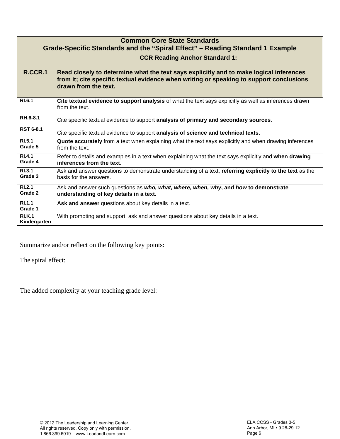| <b>Common Core State Standards</b><br>Grade-Specific Standards and the "Spiral Effect" – Reading Standard 1 Example |                                                                                                                                                                                                           |  |
|---------------------------------------------------------------------------------------------------------------------|-----------------------------------------------------------------------------------------------------------------------------------------------------------------------------------------------------------|--|
|                                                                                                                     | <b>CCR Reading Anchor Standard 1:</b>                                                                                                                                                                     |  |
| R.CCR.1                                                                                                             | Read closely to determine what the text says explicitly and to make logical inferences<br>from it; cite specific textual evidence when writing or speaking to support conclusions<br>drawn from the text. |  |
| RI.6.1                                                                                                              | Cite textual evidence to support analysis of what the text says explicitly as well as inferences drawn<br>from the text.                                                                                  |  |
| RH.6-8.1                                                                                                            | Cite specific textual evidence to support analysis of primary and secondary sources.                                                                                                                      |  |
| <b>RST 6-8.1</b>                                                                                                    | Cite specific textual evidence to support analysis of science and technical texts.                                                                                                                        |  |
| RI.5.1<br>Grade 5                                                                                                   | <b>Quote accurately</b> from a text when explaining what the text says explicitly and when drawing inferences<br>from the text.                                                                           |  |
| R <sub>1.4.1</sub><br>Grade 4                                                                                       | Refer to details and examples in a text when explaining what the text says explicitly and when drawing<br>inferences from the text.                                                                       |  |
| RI.3.1<br>Grade 3                                                                                                   | Ask and answer questions to demonstrate understanding of a text, referring explicitly to the text as the<br>basis for the answers.                                                                        |  |
| RI.2.1<br>Grade 2                                                                                                   | Ask and answer such questions as who, what, where, when, why, and how to demonstrate<br>understanding of key details in a text.                                                                           |  |
| RI.1.1<br>Grade 1                                                                                                   | Ask and answer questions about key details in a text.                                                                                                                                                     |  |
| <b>RI.K.1</b><br>Kindergarten                                                                                       | With prompting and support, ask and answer questions about key details in a text.                                                                                                                         |  |

Summarize and/or reflect on the following key points:

The spiral effect:

The added complexity at your teaching grade level: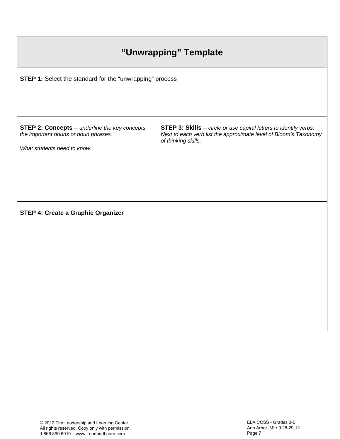| "Unwrapping" Template                                                                                                        |                                                                                                                                                                     |  |  |  |
|------------------------------------------------------------------------------------------------------------------------------|---------------------------------------------------------------------------------------------------------------------------------------------------------------------|--|--|--|
| STEP 1: Select the standard for the "unwrapping" process                                                                     |                                                                                                                                                                     |  |  |  |
| <b>STEP 2: Concepts</b> - underline the key concepts,<br>the important nouns or noun phrases.<br>What students need to know: | <b>STEP 3: Skills</b> - circle or use capital letters to identify verbs.<br>Next to each verb list the approximate level of Bloom's Taxonomy<br>of thinking skills. |  |  |  |
| <b>STEP 4: Create a Graphic Organizer</b>                                                                                    |                                                                                                                                                                     |  |  |  |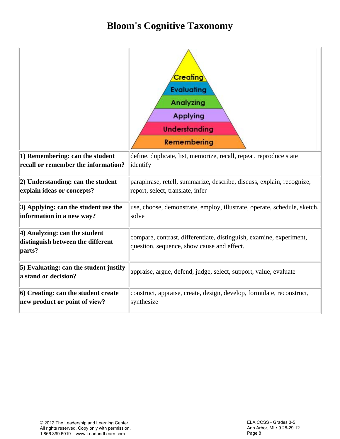## **Bloom's Cognitive Taxonomy**

|                                                                            | <b>Creating</b><br><b>Evaluating</b><br><b>Analyzing</b><br><b>Applying</b><br><b>Understanding</b><br><b>Remembering</b> |  |
|----------------------------------------------------------------------------|---------------------------------------------------------------------------------------------------------------------------|--|
| 1) Remembering: can the student                                            | define, duplicate, list, memorize, recall, repeat, reproduce state                                                        |  |
| recall or remember the information?                                        | identify                                                                                                                  |  |
| 2) Understanding: can the student                                          | paraphrase, retell, summarize, describe, discuss, explain, recognize,                                                     |  |
| explain ideas or concepts?                                                 | report, select, translate, infer                                                                                          |  |
| $ 3\rangle$ Applying: can the student use the                              | use, choose, demonstrate, employ, illustrate, operate, schedule, sketch,                                                  |  |
| information in a new way?                                                  | solve                                                                                                                     |  |
| $\vert$ 4) Analyzing: can the student<br>distinguish between the different | compare, contrast, differentiate, distinguish, examine, experiment,                                                       |  |
| parts?                                                                     | question, sequence, show cause and effect.                                                                                |  |
| 5) Evaluating: can the student justify<br>a stand or decision?             | appraise, argue, defend, judge, select, support, value, evaluate                                                          |  |
| 6) Creating: can the student create                                        | construct, appraise, create, design, develop, formulate, reconstruct,                                                     |  |
| new product or point of view?                                              | synthesize                                                                                                                |  |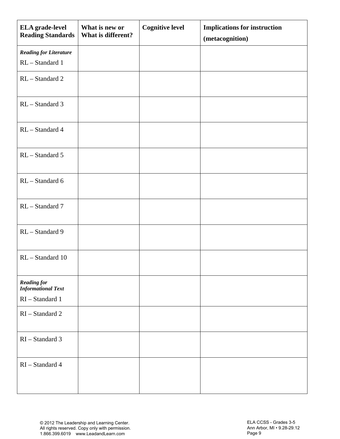| <b>ELA</b> grade-level<br><b>Reading Standards</b>                   | What is new or<br>What is different? | <b>Cognitive level</b> | <b>Implications for instruction</b><br>(metacognition) |
|----------------------------------------------------------------------|--------------------------------------|------------------------|--------------------------------------------------------|
| <b>Reading for Literature</b>                                        |                                      |                        |                                                        |
| RL-Standard 1                                                        |                                      |                        |                                                        |
| RL-Standard 2                                                        |                                      |                        |                                                        |
| RL - Standard 3                                                      |                                      |                        |                                                        |
| RL - Standard 4                                                      |                                      |                        |                                                        |
| RL - Standard 5                                                      |                                      |                        |                                                        |
| RL - Standard 6                                                      |                                      |                        |                                                        |
| RL - Standard 7                                                      |                                      |                        |                                                        |
| RL - Standard 9                                                      |                                      |                        |                                                        |
| RL-Standard 10                                                       |                                      |                        |                                                        |
| <b>Reading for</b><br><b>Informational Text</b><br>$RI - Standard 1$ |                                      |                        |                                                        |
| RI-Standard 2                                                        |                                      |                        |                                                        |
| RI-Standard 3                                                        |                                      |                        |                                                        |
| RI-Standard 4                                                        |                                      |                        |                                                        |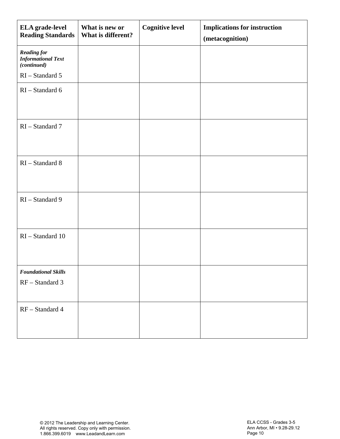| <b>ELA</b> grade-level<br><b>Reading Standards</b>             | What is new or<br>What is different? | <b>Cognitive level</b> | <b>Implications for instruction</b><br>(metacognition) |
|----------------------------------------------------------------|--------------------------------------|------------------------|--------------------------------------------------------|
| <b>Reading for</b><br><b>Informational Text</b><br>(continued) |                                      |                        |                                                        |
| $RI - Standard 5$                                              |                                      |                        |                                                        |
| RI-Standard 6                                                  |                                      |                        |                                                        |
| RI-Standard 7                                                  |                                      |                        |                                                        |
| $RI - Standard 8$                                              |                                      |                        |                                                        |
| RI-Standard 9                                                  |                                      |                        |                                                        |
| RI-Standard 10                                                 |                                      |                        |                                                        |
| <b>Foundational Skills</b><br>RF - Standard 3                  |                                      |                        |                                                        |
| RF - Standard 4                                                |                                      |                        |                                                        |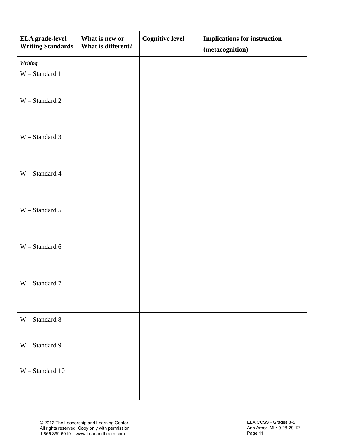| ELA grade-level<br><b>Writing Standards</b> | What is new or<br>What is different? | <b>Cognitive level</b> | <b>Implications for instruction</b><br>(metacognition) |
|---------------------------------------------|--------------------------------------|------------------------|--------------------------------------------------------|
| Writing<br>W - Standard 1                   |                                      |                        |                                                        |
| W - Standard 2                              |                                      |                        |                                                        |
| W - Standard 3                              |                                      |                        |                                                        |
| W - Standard 4                              |                                      |                        |                                                        |
| W - Standard 5                              |                                      |                        |                                                        |
| W - Standard 6                              |                                      |                        |                                                        |
| W - Standard 7                              |                                      |                        |                                                        |
| W - Standard 8                              |                                      |                        |                                                        |
| W - Standard 9                              |                                      |                        |                                                        |
| $W - Standard$ 10                           |                                      |                        |                                                        |